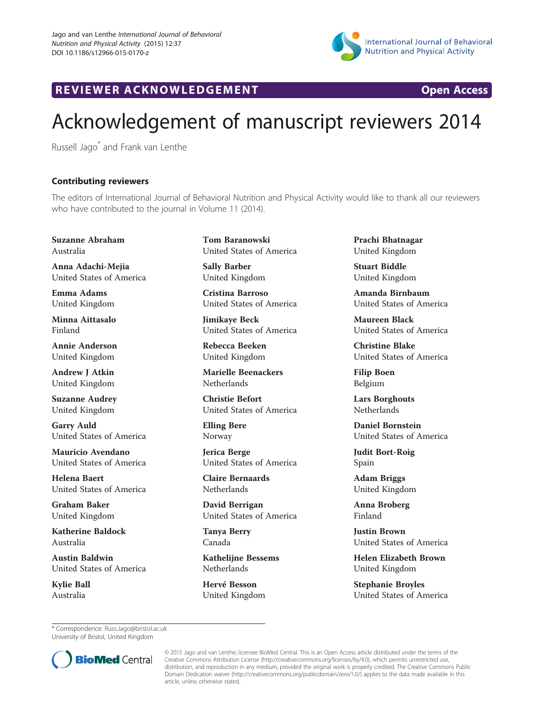

R EVI EW E R ACKNOW L EDG EM EN T Open Access



## Acknowledgement of manuscript reviewers 2014

Russell Jago\* and Frank van Lenthe

## Contributing reviewers

The editors of International Journal of Behavioral Nutrition and Physical Activity would like to thank all our reviewers who have contributed to the journal in Volume 11 (2014).

Suzanne Abraham Australia

Anna Adachi-Mejia United States of America

Emma Adams United Kingdom

Minna Aittasalo Finland

Annie Anderson United Kingdom

Andrew J Atkin United Kingdom

Suzanne Audrey United Kingdom

Garry Auld United States of America

Mauricio Avendano United States of America

Helena Baert United States of America

Graham Baker United Kingdom

Katherine Baldock Australia

Austin Baldwin United States of America

Kylie Ball Australia

Tom Baranowski United States of America

Sally Barber United Kingdom

Cristina Barroso United States of America

Jimikaye Beck United States of America

Rebecca Beeken United Kingdom

Marielle Beenackers **Netherlands** 

Christie Befort United States of America

Elling Bere Norway

Jerica Berge United States of America

Claire Bernaards Netherlands

David Berrigan United States of America

Tanya Berry Canada

Kathelijne Bessems Netherlands

Hervé Besson United Kingdom Prachi Bhatnagar United Kingdom

Stuart Biddle United Kingdom

Amanda Birnbaum United States of America

Maureen Black United States of America

Christine Blake United States of America

Filip Boen Belgium

Lars Borghouts **Netherlands** 

Daniel Bornstein United States of America

Judit Bort-Roig Spain

Adam Briggs United Kingdom

Anna Broberg Finland

Justin Brown United States of America

Helen Elizabeth Brown United Kingdom

Stephanie Broyles United States of America

\* Correspondence: [Russ.Jago@bristol.ac.uk](mailto:Russ.Jago@bristol.ac.uk) University of Bristol, United Kingdom



© 2015 Jago and van Lenthe; licensee BioMed Central. This is an Open Access article distributed under the terms of the Creative Commons Attribution License (<http://creativecommons.org/licenses/by/4.0>), which permits unrestricted use, distribution, and reproduction in any medium, provided the original work is properly credited. The Creative Commons Public Domain Dedication waiver [\(http://creativecommons.org/publicdomain/zero/1.0/\)](http://creativecommons.org/publicdomain/zero/1.0/) applies to the data made available in this article, unless otherwise stated.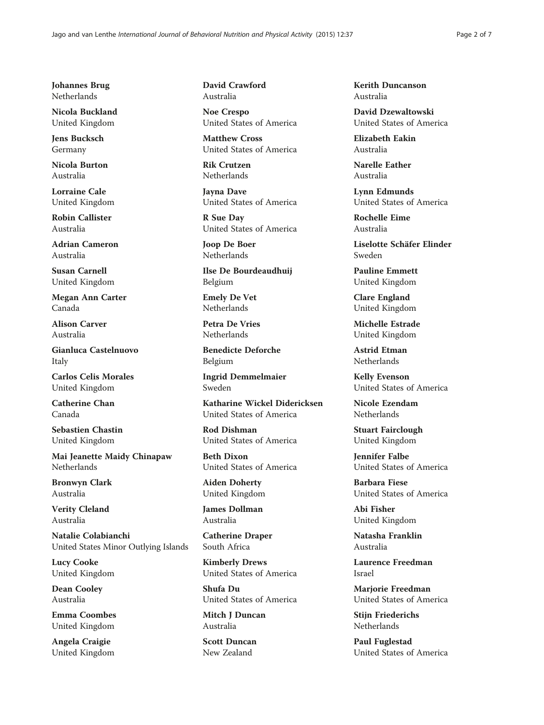Johannes Brug Netherlands

Nicola Buckland United Kingdom

Jens Bucksch Germany

Nicola Burton Australia

Lorraine Cale United Kingdom

Robin Callister Australia

Adrian Cameron Australia

Susan Carnell United Kingdom

Megan Ann Carter Canada

Alison Carver Australia

Gianluca Castelnuovo Italy

Carlos Celis Morales United Kingdom

Catherine Chan Canada

Sebastien Chastin United Kingdom

Mai Jeanette Maidy Chinapaw Netherlands

Bronwyn Clark Australia

Verity Cleland Australia

Natalie Colabianchi United States Minor Outlying Islands

Lucy Cooke United Kingdom

Dean Cooley Australia

Emma Coombes United Kingdom

Angela Craigie United Kingdom David Crawford Australia

Noe Crespo United States of America

Matthew Cross United States of America

Rik Crutzen **Netherlands** 

Jayna Dave United States of America

R Sue Day United States of America

Joop De Boer Netherlands

Ilse De Bourdeaudhuij Belgium

Emely De Vet Netherlands

Petra De Vries Netherlands

Benedicte Deforche Belgium

Ingrid Demmelmaier Sweden

Katharine Wickel Didericksen United States of America

Rod Dishman United States of America

Beth Dixon United States of America

Aiden Doherty United Kingdom

James Dollman Australia

Catherine Draper South Africa

Kimberly Drews United States of America

Shufa Du United States of America

Mitch J Duncan Australia

Scott Duncan New Zealand

Kerith Duncanson Australia

David Dzewaltowski United States of America

Elizabeth Eakin Australia

Narelle Eather Australia

Lynn Edmunds United States of America

Rochelle Eime Australia

Liselotte Schäfer Elinder Sweden

Pauline Emmett United Kingdom

Clare England United Kingdom

Michelle Estrade United Kingdom

Astrid Etman Netherlands

Kelly Evenson United States of America

Nicole Ezendam Netherlands

Stuart Fairclough United Kingdom

Jennifer Falbe United States of America

Barbara Fiese United States of America

Abi Fisher United Kingdom

Natasha Franklin Australia

Laurence Freedman Israel

Marjorie Freedman United States of America

Stijn Friederichs Netherlands

Paul Fuglestad United States of America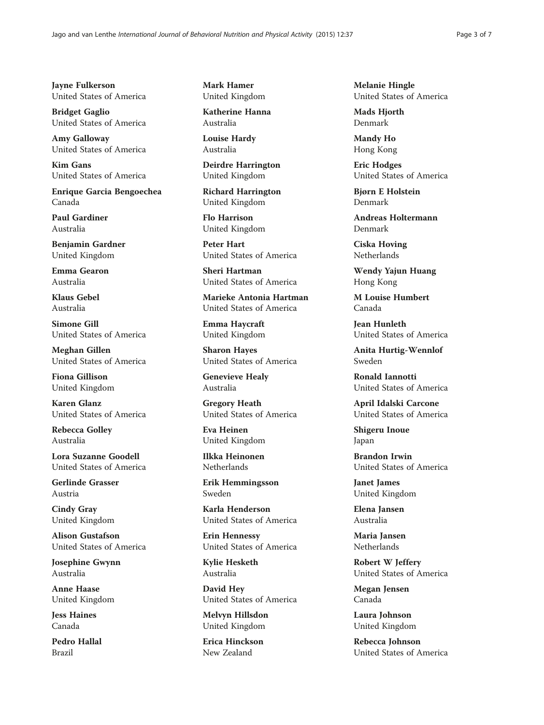Jayne Fulkerson United States of America

Bridget Gaglio United States of America

Amy Galloway United States of America

Kim Gans United States of America

Enrique Garcia Bengoechea Canada

Paul Gardiner Australia

Benjamin Gardner United Kingdom

Emma Gearon Australia

Klaus Gebel Australia

Simone Gill United States of America

Meghan Gillen United States of America

Fiona Gillison United Kingdom

Karen Glanz United States of America

Rebecca Golley Australia

Lora Suzanne Goodell United States of America

Gerlinde Grasser Austria

Cindy Gray United Kingdom

Alison Gustafson United States of America

Josephine Gwynn Australia

Anne Haase United Kingdom

Jess Haines Canada

Pedro Hallal Brazil

Mark Hamer United Kingdom

Katherine Hanna Australia

Louise Hardy Australia

Deirdre Harrington United Kingdom

Richard Harrington United Kingdom

Flo Harrison United Kingdom

Peter Hart United States of America

Sheri Hartman United States of America

Marieke Antonia Hartman United States of America

Emma Haycraft United Kingdom

Sharon Hayes United States of America

Genevieve Healy Australia

Gregory Heath United States of America

Eva Heinen United Kingdom

Ilkka Heinonen Netherlands

Erik Hemmingsson Sweden

Karla Henderson United States of America

Erin Hennessy United States of America

Kylie Hesketh Australia

David Hey United States of America

Melvyn Hillsdon United Kingdom

Erica Hinckson New Zealand

Melanie Hingle United States of America

Mads Hjorth Denmark

Mandy Ho Hong Kong

Eric Hodges United States of America

Bjørn E Holstein Denmark

Andreas Holtermann Denmark

Ciska Hoving **Netherlands** 

Wendy Yajun Huang Hong Kong

M Louise Humbert Canada

Jean Hunleth United States of America

Anita Hurtig-Wennlof Sweden

Ronald Iannotti United States of America

April Idalski Carcone United States of America

Shigeru Inoue Japan

Brandon Irwin United States of America

Janet James United Kingdom

Elena Jansen Australia

Maria Jansen Netherlands

Robert W Jeffery United States of America

Megan Jensen Canada

Laura Johnson United Kingdom

Rebecca Johnson United States of America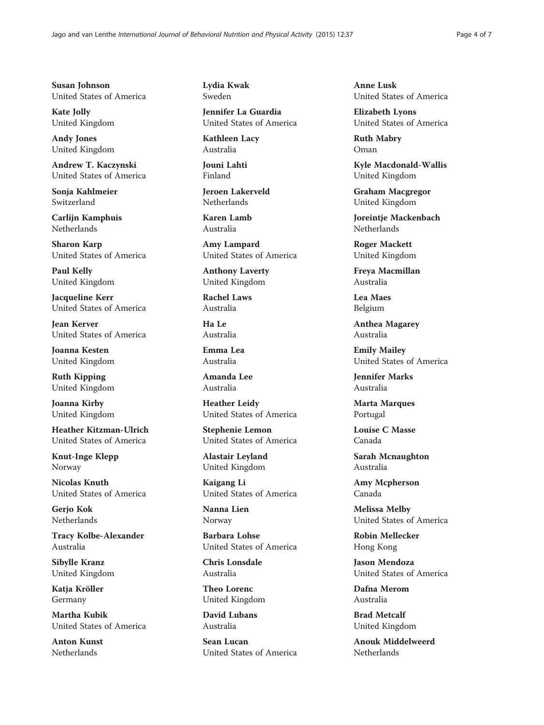Susan Johnson United States of America

Kate Jolly United Kingdom

Andy Jones United Kingdom

Andrew T. Kaczynski United States of America

Sonja Kahlmeier Switzerland

Carlijn Kamphuis Netherlands

Sharon Karp United States of America

Paul Kelly United Kingdom

Jacqueline Kerr United States of America

Jean Kerver United States of America

Joanna Kesten United Kingdom

Ruth Kipping United Kingdom

Joanna Kirby United Kingdom

Heather Kitzman-Ulrich United States of America

Knut-Inge Klepp Norway

Nicolas Knuth United States of America

Gerjo Kok Netherlands

Tracy Kolbe-Alexander Australia

Sibylle Kranz United Kingdom

Katja Kröller Germany

Martha Kubik United States of America

Anton Kunst Netherlands

Lydia Kwak Sweden

Jennifer La Guardia United States of America

Kathleen Lacy Australia

Jouni Lahti Finland

Jeroen Lakerveld Netherlands

Karen Lamb Australia

Amy Lampard United States of America

Anthony Laverty United Kingdom

Rachel Laws Australia

Ha Le Australia

Emma Lea Australia

Amanda Lee Australia

Heather Leidy United States of America

Stephenie Lemon United States of America

Alastair Leyland United Kingdom

Kaigang Li United States of America

Nanna Lien Norway

Barbara Lohse United States of America

Chris Lonsdale Australia

Theo Lorenc United Kingdom

David Lubans Australia

Sean Lucan United States of America Anne Lusk United States of America

Elizabeth Lyons United States of America

Ruth Mabry Oman

Kyle Macdonald-Wallis United Kingdom

Graham Macgregor United Kingdom

Joreintje Mackenbach Netherlands

Roger Mackett United Kingdom

Freya Macmillan Australia

Lea Maes Belgium

Anthea Magarey Australia

Emily Mailey United States of America

Jennifer Marks Australia

Marta Marques Portugal

Louise C Masse Canada

Sarah Mcnaughton Australia

Amy Mcpherson Canada

Melissa Melby United States of America

Robin Mellecker Hong Kong

Jason Mendoza United States of America

Dafna Merom Australia

Brad Metcalf United Kingdom

Anouk Middelweerd Netherlands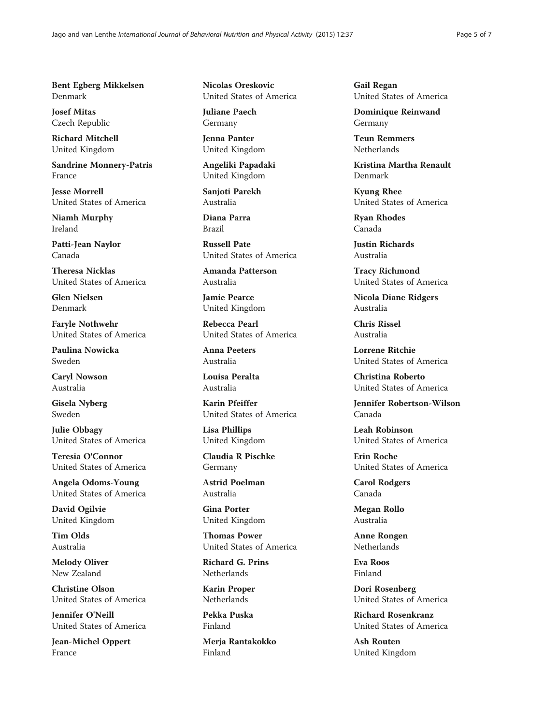Bent Egberg Mikkelsen Denmark

Josef Mitas Czech Republic

Richard Mitchell United Kingdom

Sandrine Monnery-Patris France

Jesse Morrell United States of America

Niamh Murphy Ireland

Patti-Jean Naylor Canada

Theresa Nicklas United States of America

Glen Nielsen Denmark

Faryle Nothwehr United States of America

Paulina Nowicka Sweden

Caryl Nowson Australia

Gisela Nyberg Sweden

Julie Obbagy United States of America

Teresia O'Connor United States of America

Angela Odoms-Young United States of America

David Ogilvie United Kingdom

Tim Olds Australia

Melody Oliver New Zealand

Christine Olson United States of America

Jennifer O'Neill United States of America

Jean-Michel Oppert France

Nicolas Oreskovic United States of America

Juliane Paech Germany

Jenna Panter United Kingdom

Angeliki Papadaki United Kingdom

Sanjoti Parekh Australia

Diana Parra Brazil

Russell Pate United States of America

Amanda Patterson Australia

Jamie Pearce United Kingdom

Rebecca Pearl United States of America

Anna Peeters Australia

Louisa Peralta Australia

Karin Pfeiffer United States of America

Lisa Phillips United Kingdom

Claudia R Pischke Germany

Astrid Poelman Australia

Gina Porter United Kingdom

Thomas Power United States of America

Richard G. Prins **Netherlands** 

Karin Proper Netherlands

Pekka Puska Finland

Merja Rantakokko Finland

Gail Regan United States of America

Dominique Reinwand Germany

Teun Remmers Netherlands

Kristina Martha Renault Denmark

Kyung Rhee United States of America

Ryan Rhodes Canada

Justin Richards Australia

Tracy Richmond United States of America

Nicola Diane Ridgers Australia

Chris Rissel Australia

Lorrene Ritchie United States of America

Christina Roberto United States of America

Jennifer Robertson-Wilson Canada

Leah Robinson United States of America

Erin Roche United States of America

Carol Rodgers Canada

Megan Rollo Australia

Anne Rongen Netherlands

Eva Roos Finland

Dori Rosenberg United States of America

Richard Rosenkranz United States of America

Ash Routen United Kingdom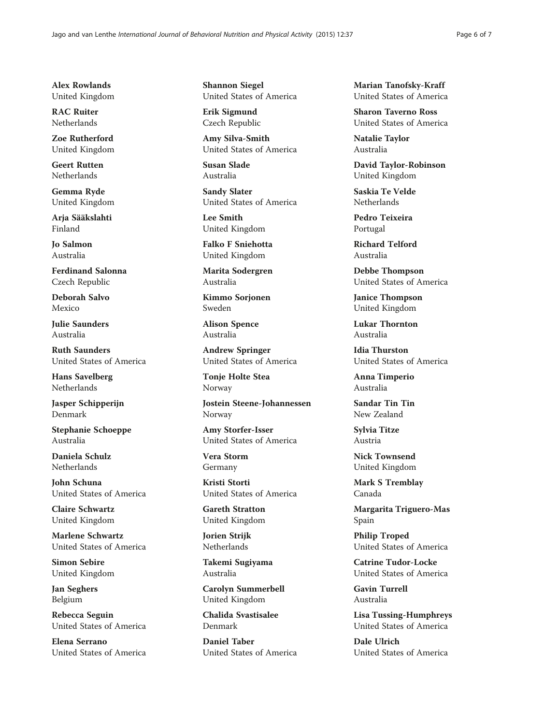Alex Rowlands United Kingdom

RAC Ruiter Netherlands

Zoe Rutherford United Kingdom

Geert Rutten Netherlands

Gemma Ryde United Kingdom

Arja Sääkslahti Finland

Jo Salmon Australia

Ferdinand Salonna Czech Republic

Deborah Salvo Mexico

Julie Saunders Australia

Ruth Saunders United States of America

Hans Savelberg **Netherlands** 

Jasper Schipperijn Denmark

Stephanie Schoeppe Australia

Daniela Schulz Netherlands

John Schuna United States of America

Claire Schwartz United Kingdom

Marlene Schwartz United States of America

Simon Sebire United Kingdom

Jan Seghers Belgium

Rebecca Seguin United States of America

Elena Serrano United States of America Shannon Siegel United States of America

Erik Sigmund Czech Republic

Amy Silva-Smith United States of America

Susan Slade Australia

Sandy Slater United States of America

Lee Smith United Kingdom

Falko F Sniehotta United Kingdom

Marita Sodergren Australia

Kimmo Sorjonen Sweden

Alison Spence Australia

Andrew Springer United States of America

Tonje Holte Stea Norway

Jostein Steene-Johannessen Norway

Amy Storfer-Isser United States of America

Vera Storm Germany

Kristi Storti United States of America

Gareth Stratton United Kingdom

Jorien Strijk Netherlands

Takemi Sugiyama Australia

Carolyn Summerbell United Kingdom

Chalida Svastisalee Denmark

Daniel Taber United States of America Marian Tanofsky-Kraff United States of America

Sharon Taverno Ross United States of America

Natalie Taylor Australia

David Taylor-Robinson United Kingdom

Saskia Te Velde Netherlands

Pedro Teixeira Portugal

Richard Telford Australia

Debbe Thompson United States of America

Janice Thompson United Kingdom

Lukar Thornton Australia

Idia Thurston United States of America

Anna Timperio Australia

Sandar Tin Tin New Zealand

Sylvia Titze Austria

Nick Townsend United Kingdom

Mark S Tremblay Canada

Margarita Triguero-Mas Spain

Philip Troped United States of America

Catrine Tudor-Locke United States of America

Gavin Turrell Australia

Lisa Tussing-Humphreys United States of America

Dale Ulrich United States of America